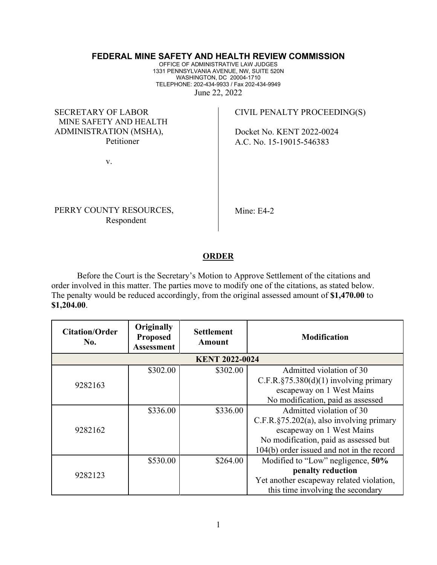## **FEDERAL MINE SAFETY AND HEALTH REVIEW COMMISSION**

OFFICE OF ADMINISTRATIVE LAW JUDGES 1331 PENNSYLVANIA AVENUE, NW, SUITE 520N WASHINGTON, DC 20004-1710 TELEPHONE: 202-434-9933 / Fax 202-434-9949 June 22, 2022

SECRETARY OF LABOR MINE SAFETY AND HEALTH ADMINISTRATION (MSHA), Petitioner

CIVIL PENALTY PROCEEDING(S)

Docket No. KENT 2022-0024 A.C. No. 15-19015-546383

v.

PERRY COUNTY RESOURCES, Respondent

Mine: E4-2

## **ORDER**

Before the Court is the Secretary's Motion to Approve Settlement of the citations and order involved in this matter. The parties move to modify one of the citations, as stated below. The penalty would be reduced accordingly, from the original assessed amount of **\$1,470.00** to **\$1,204.00**.

| <b>Citation/Order</b><br>No. | Originally<br><b>Proposed</b><br><b>Assessment</b> | <b>Settlement</b><br>Amount | <b>Modification</b>                           |  |  |
|------------------------------|----------------------------------------------------|-----------------------------|-----------------------------------------------|--|--|
| <b>KENT 2022-0024</b>        |                                                    |                             |                                               |  |  |
| 9282163                      | \$302.00                                           | \$302.00                    | Admitted violation of 30                      |  |  |
|                              |                                                    |                             | C.F.R. $\S 75.380(d)(1)$ involving primary    |  |  |
|                              |                                                    |                             | escapeway on 1 West Mains                     |  |  |
|                              |                                                    |                             | No modification, paid as assessed             |  |  |
| 9282162                      | \$336.00                                           | \$336.00                    | Admitted violation of 30                      |  |  |
|                              |                                                    |                             | $C.F.R.\S 75.202(a)$ , also involving primary |  |  |
|                              |                                                    |                             | escapeway on 1 West Mains                     |  |  |
|                              |                                                    |                             | No modification, paid as assessed but         |  |  |
|                              |                                                    |                             | 104(b) order issued and not in the record     |  |  |
| 9282123                      | \$530.00                                           | \$264.00                    | Modified to "Low" negligence, 50%             |  |  |
|                              |                                                    |                             | penalty reduction                             |  |  |
|                              |                                                    |                             | Yet another escapeway related violation,      |  |  |
|                              |                                                    |                             | this time involving the secondary             |  |  |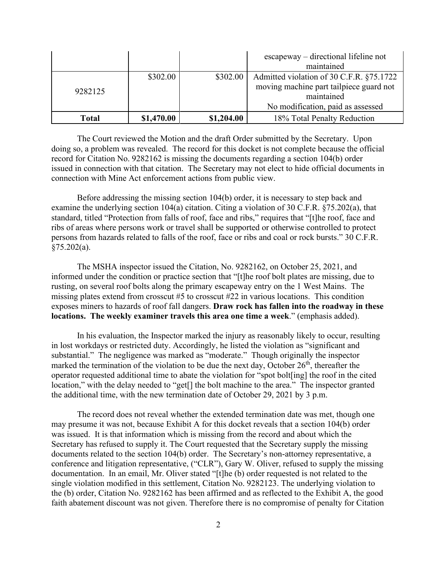|         |            |            | $escapeway$ – directional lifeline not<br>maintained                                              |
|---------|------------|------------|---------------------------------------------------------------------------------------------------|
| 9282125 | \$302.00   | \$302.00   | Admitted violation of 30 C.F.R. §75.1722<br>moving machine part tailpiece guard not<br>maintained |
|         |            |            | No modification, paid as assessed                                                                 |
| Total   | \$1,470.00 | \$1,204.00 | 18% Total Penalty Reduction                                                                       |

The Court reviewed the Motion and the draft Order submitted by the Secretary. Upon doing so, a problem was revealed. The record for this docket is not complete because the official record for Citation No. 9282162 is missing the documents regarding a section 104(b) order issued in connection with that citation. The Secretary may not elect to hide official documents in connection with Mine Act enforcement actions from public view.

Before addressing the missing section 104(b) order, it is necessary to step back and examine the underlying section 104(a) citation. Citing a violation of 30 C.F.R. §75.202(a), that standard, titled "Protection from falls of roof, face and ribs," requires that "[t]he roof, face and ribs of areas where persons work or travel shall be supported or otherwise controlled to protect persons from hazards related to falls of the roof, face or ribs and coal or rock bursts." 30 C.F.R.  $§75.202(a).$ 

The MSHA inspector issued the Citation, No. 9282162, on October 25, 2021, and informed under the condition or practice section that "[t]he roof bolt plates are missing, due to rusting, on several roof bolts along the primary escapeway entry on the 1 West Mains. The missing plates extend from crosscut #5 to crosscut #22 in various locations. This condition exposes miners to hazards of roof fall dangers. **Draw rock has fallen into the roadway in these locations. The weekly examiner travels this area one time a week**." (emphasis added).

In his evaluation, the Inspector marked the injury as reasonably likely to occur, resulting in lost workdays or restricted duty. Accordingly, he listed the violation as "significant and substantial." The negligence was marked as "moderate." Though originally the inspector marked the termination of the violation to be due the next day, October  $26<sup>th</sup>$ , thereafter the operator requested additional time to abate the violation for "spot bolt[ing] the roof in the cited location," with the delay needed to "get<sup>[]</sup> the bolt machine to the area." The inspector granted the additional time, with the new termination date of October 29, 2021 by 3 p.m.

The record does not reveal whether the extended termination date was met, though one may presume it was not, because Exhibit A for this docket reveals that a section 104(b) order was issued. It is that information which is missing from the record and about which the Secretary has refused to supply it. The Court requested that the Secretary supply the missing documents related to the section 104(b) order. The Secretary's non-attorney representative, a conference and litigation representative, ("CLR"), Gary W. Oliver, refused to supply the missing documentation. In an email, Mr. Oliver stated "[t]he (b) order requested is not related to the single violation modified in this settlement, Citation No. 9282123. The underlying violation to the (b) order, Citation No. 9282162 has been affirmed and as reflected to the Exhibit A, the good faith abatement discount was not given. Therefore there is no compromise of penalty for Citation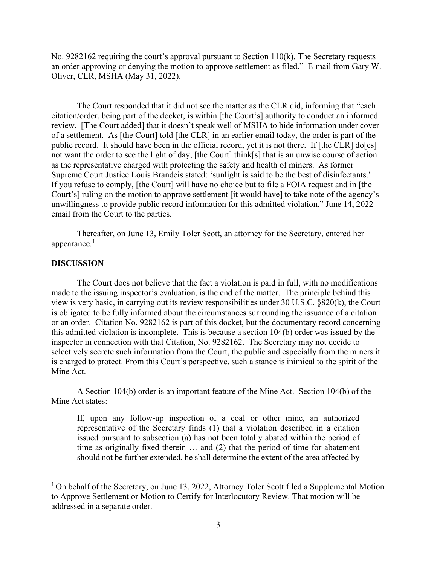No. 9282162 requiring the court's approval pursuant to Section 110(k). The Secretary requests an order approving or denying the motion to approve settlement as filed." E-mail from Gary W. Oliver, CLR, MSHA (May 31, 2022).

The Court responded that it did not see the matter as the CLR did, informing that "each citation/order, being part of the docket, is within [the Court's] authority to conduct an informed review. [The Court added] that it doesn't speak well of MSHA to hide information under cover of a settlement. As [the Court] told [the CLR] in an earlier email today, the order is part of the public record. It should have been in the official record, yet it is not there. If [the CLR] do[es] not want the order to see the light of day, [the Court] think[s] that is an unwise course of action as the representative charged with protecting the safety and health of miners. As former Supreme Court Justice Louis Brandeis stated: 'sunlight is said to be the best of disinfectants.' If you refuse to comply, [the Court] will have no choice but to file a FOIA request and in [the Court's] ruling on the motion to approve settlement [it would have] to take note of the agency's unwillingness to provide public record information for this admitted violation." June 14, 2022 email from the Court to the parties.

Thereafter, on June 13, Emily Toler Scott, an attorney for the Secretary, entered her appearance. $<sup>1</sup>$  $<sup>1</sup>$  $<sup>1</sup>$ </sup>

## **DISCUSSION**

The Court does not believe that the fact a violation is paid in full, with no modifications made to the issuing inspector's evaluation, is the end of the matter. The principle behind this view is very basic, in carrying out its review responsibilities under 30 U.S.C. §820(k), the Court is obligated to be fully informed about the circumstances surrounding the issuance of a citation or an order. Citation No. 9282162 is part of this docket, but the documentary record concerning this admitted violation is incomplete. This is because a section 104(b) order was issued by the inspector in connection with that Citation, No. 9282162. The Secretary may not decide to selectively secrete such information from the Court, the public and especially from the miners it is charged to protect. From this Court's perspective, such a stance is inimical to the spirit of the Mine Act.

A Section 104(b) order is an important feature of the Mine Act. Section 104(b) of the Mine Act states:

If, upon any follow-up inspection of a coal or other mine, an authorized representative of the Secretary finds (1) that a violation described in a citation issued pursuant to subsection (a) has not been totally abated within the period of time as originally fixed therein … and (2) that the period of time for abatement should not be further extended, he shall determine the extent of the area affected by

<span id="page-2-0"></span><sup>&</sup>lt;sup>1</sup> On behalf of the Secretary, on June 13, 2022, Attorney Toler Scott filed a Supplemental Motion to Approve Settlement or Motion to Certify for Interlocutory Review. That motion will be addressed in a separate order.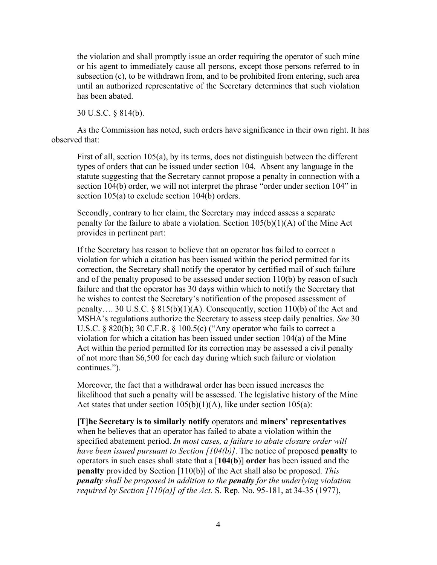the violation and shall promptly issue an order requiring the operator of such mine or his agent to immediately cause all persons, except those persons referred to in subsection (c), to be withdrawn from, and to be prohibited from entering, such area until an authorized representative of the Secretary determines that such violation has been abated.

30 U.S.C. § 814(b).

As the Commission has noted, such orders have significance in their own right. It has observed that:

First of all, section 105(a), by its terms, does not distinguish between the different types of orders that can be issued under section 104. Absent any language in the statute suggesting that the Secretary cannot propose a penalty in connection with a section 104(b) order, we will not interpret the phrase "order under section 104" in section 105(a) to exclude section 104(b) orders.

Secondly, contrary to her claim, the Secretary may indeed assess a separate penalty for the failure to abate a violation. Section  $105(b)(1)(A)$  of the Mine Act provides in pertinent part:

If the Secretary has reason to believe that an operator has failed to correct a violation for which a citation has been issued within the period permitted for its correction, the Secretary shall notify the operator by certified mail of such failure and of the penalty proposed to be assessed under section 110(b) by reason of such failure and that the operator has 30 days within which to notify the Secretary that he wishes to contest the Secretary's notification of the proposed assessment of penalty…. 30 U.S.C. § 815(b)(1)(A). Consequently, section 110(b) of the Act and MSHA's regulations authorize the Secretary to assess steep daily penalties. *See* 30 U.S.C. § 820(b); 30 C.F.R. § 100.5(c) ("Any operator who fails to correct a violation for which a citation has been issued under section 104(a) of the Mine Act within the period permitted for its correction may be assessed a civil penalty of not more than \$6,500 for each day during which such failure or violation continues.").

Moreover, the fact that a withdrawal order has been issued increases the likelihood that such a penalty will be assessed. The legislative history of the Mine Act states that under section  $105(b)(1)(A)$ , like under section  $105(a)$ :

**[T]he Secretary is to similarly notify** operators and **miners' representatives** when he believes that an operator has failed to abate a violation within the specified abatement period. *In most cases, a failure to abate closure order will have been issued pursuant to Section [104(b)]*. The notice of proposed **penalty** to operators in such cases shall state that a [**104**(**b**)] **order** has been issued and the **penalty** provided by Section [110(b)] of the Act shall also be proposed. *This penalty shall be proposed in addition to the penalty for the underlying violation required by Section [110(a)] of the Act.* S. Rep. No. 95-181, at 34-35 (1977),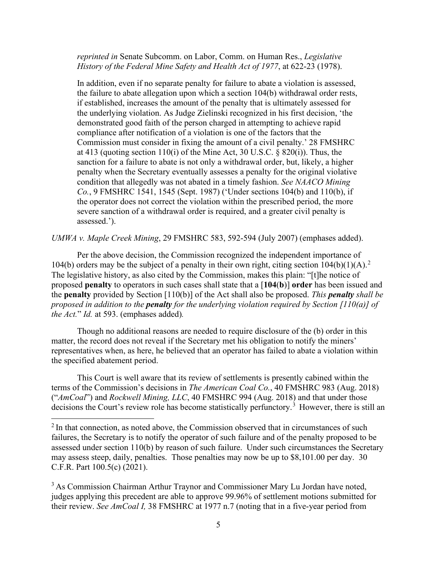*reprinted in* Senate Subcomm. on Labor, Comm. on Human Res., *Legislative History of the Federal Mine Safety and Health Act of 1977*, at 622-23 (1978).

In addition, even if no separate penalty for failure to abate a violation is assessed, the failure to abate allegation upon which a section 104(b) withdrawal order rests, if established, increases the amount of the penalty that is ultimately assessed for the underlying violation. As Judge Zielinski recognized in his first decision, 'the demonstrated good faith of the person charged in attempting to achieve rapid compliance after notification of a violation is one of the factors that the Commission must consider in fixing the amount of a civil penalty.' 28 FMSHRC at 413 (quoting section 110(i) of the Mine Act, 30 U.S.C.  $\S$  820(i)). Thus, the sanction for a failure to abate is not only a withdrawal order, but, likely, a higher penalty when the Secretary eventually assesses a penalty for the original violative condition that allegedly was not abated in a timely fashion. *See NAACO Mining Co.*, 9 FMSHRC 1541, 1545 (Sept. 1987) ('Under sections 104(b) and 110(b), if the operator does not correct the violation within the prescribed period, the more severe sanction of a withdrawal order is required, and a greater civil penalty is assessed.').

*UMWA v. Maple Creek Mining*, 29 FMSHRC 583, 592-594 (July 2007) (emphases added).

Per the above decision, the Commission recognized the independent importance of 104(b) orders may be the subject of a penalty in their own right, citing section  $104(b)(1)(A)$ .<sup>[2](#page-4-0)</sup> The legislative history, as also cited by the Commission, makes this plain: "[t]he notice of proposed **penalty** to operators in such cases shall state that a [**104**(**b**)] **order** has been issued and the **penalty** provided by Section [110(b)] of the Act shall also be proposed. *This penalty shall be proposed in addition to the penalty for the underlying violation required by Section [110(a)] of the Act.*" *Id.* at 593. (emphases added)*.*

Though no additional reasons are needed to require disclosure of the (b) order in this matter, the record does not reveal if the Secretary met his obligation to notify the miners' representatives when, as here, he believed that an operator has failed to abate a violation within the specified abatement period.

This Court is well aware that its review of settlements is presently cabined within the terms of the Commission's decisions in *The American Coal Co.*, 40 FMSHRC 983 (Aug. 2018) ("*AmCoal*") and *Rockwell Mining, LLC*, 40 FMSHRC 994 (Aug. 2018) and that under those decisions the Court's review role has become statistically perfunctory.<sup>[3](#page-4-1)</sup> However, there is still an

<span id="page-4-0"></span><sup>&</sup>lt;sup>2</sup> In that connection, as noted above, the Commission observed that in circumstances of such failures, the Secretary is to notify the operator of such failure and of the penalty proposed to be assessed under section 110(b) by reason of such failure. Under such circumstances the Secretary may assess steep, daily, penalties. Those penalties may now be up to \$8,101.00 per day. 30 C.F.R. Part 100.5(c) (2021).

<span id="page-4-1"></span><sup>&</sup>lt;sup>3</sup> As Commission Chairman Arthur Traynor and Commissioner Mary Lu Jordan have noted, judges applying this precedent are able to approve 99.96% of settlement motions submitted for their review. *See AmCoal I,* 38 FMSHRC at 1977 n.7 (noting that in a five-year period from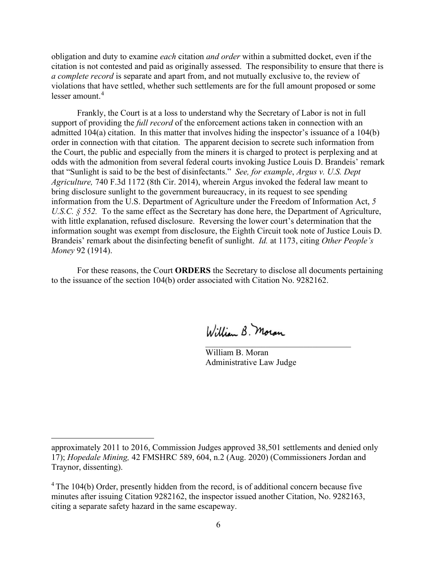obligation and duty to examine *each* citation *and order* within a submitted docket, even if the citation is not contested and paid as originally assessed. The responsibility to ensure that there is *a complete record* is separate and apart from, and not mutually exclusive to, the review of violations that have settled, whether such settlements are for the full amount proposed or some lesser amount.[4](#page-5-0)

Frankly, the Court is at a loss to understand why the Secretary of Labor is not in full support of providing the *full record* of the enforcement actions taken in connection with an admitted 104(a) citation. In this matter that involves hiding the inspector's issuance of a 104(b) order in connection with that citation. The apparent decision to secrete such information from the Court, the public and especially from the miners it is charged to protect is perplexing and at odds with the admonition from several federal courts invoking Justice Louis D. Brandeis' remark that "Sunlight is said to be the best of disinfectants." *See, for example*, *Argus v. U.S. Dept Agriculture,* 740 F.3d 1172 (8th Cir. 2014), wherein Argus invoked the federal law meant to bring disclosure sunlight to the government bureaucracy, in its request to see spending information from the U.S. Department of Agriculture under the Freedom of Information Act, *5 U.S.C.* § 552. To the same effect as the Secretary has done here, the Department of Agriculture, with little explanation, refused disclosure. Reversing the lower court's determination that the information sought was exempt from disclosure, the Eighth Circuit took note of Justice Louis D. Brandeis' remark about the disinfecting benefit of sunlight. *Id.* at 1173, citing *Other People's Money* 92 (1914).

For these reasons, the Court **ORDERS** the Secretary to disclose all documents pertaining to the issuance of the section 104(b) order associated with Citation No. 9282162.

William B. Moran

William B. Moran Administrative Law Judge

approximately 2011 to 2016, Commission Judges approved 38,501 settlements and denied only 17); *Hopedale Mining,* 42 FMSHRC 589, 604, n.2 (Aug. 2020) (Commissioners Jordan and Traynor, dissenting).

<span id="page-5-0"></span> $4$  The 104(b) Order, presently hidden from the record, is of additional concern because five minutes after issuing Citation 9282162, the inspector issued another Citation, No. 9282163, citing a separate safety hazard in the same escapeway.